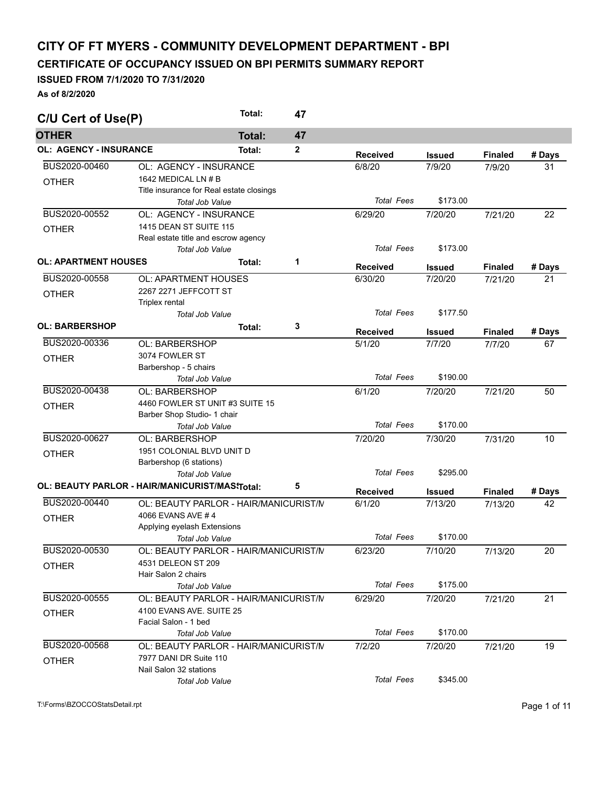## **CITY OF FT MYERS - COMMUNITY DEVELOPMENT DEPARTMENT - BPI**

## **CERTIFICATE OF OCCUPANCY ISSUED ON BPI PERMITS SUMMARY REPORT**

## **ISSUED FROM 7/1/2020 TO 7/31/2020**

**As of 8/2/2020** 

| C/U Cert of Use(P)            |                                                                | Total:        | 47           |                   |               |                |        |
|-------------------------------|----------------------------------------------------------------|---------------|--------------|-------------------|---------------|----------------|--------|
| <b>OTHER</b>                  |                                                                | <b>Total:</b> | 47           |                   |               |                |        |
| <b>OL: AGENCY - INSURANCE</b> |                                                                | Total:        | $\mathbf{2}$ | <b>Received</b>   | <b>Issued</b> | <b>Finaled</b> | # Days |
| BUS2020-00460                 | OL: AGENCY - INSURANCE                                         |               |              | 6/8/20            | 7/9/20        | 7/9/20         | 31     |
| <b>OTHER</b>                  | 1642 MEDICAL LN # B                                            |               |              |                   |               |                |        |
|                               | Title insurance for Real estate closings                       |               |              |                   |               |                |        |
|                               | Total Job Value                                                |               |              | <b>Total Fees</b> | \$173.00      |                |        |
| BUS2020-00552                 | OL: AGENCY - INSURANCE                                         |               |              | 6/29/20           | 7/20/20       | 7/21/20        | 22     |
| <b>OTHER</b>                  | 1415 DEAN ST SUITE 115                                         |               |              |                   |               |                |        |
|                               | Real estate title and escrow agency                            |               |              |                   |               |                |        |
|                               | <b>Total Job Value</b>                                         |               |              | <b>Total Fees</b> | \$173.00      |                |        |
| <b>OL: APARTMENT HOUSES</b>   |                                                                | Total:        | 1            | <b>Received</b>   | <b>Issued</b> | <b>Finaled</b> | # Days |
| BUS2020-00558                 | OL: APARTMENT HOUSES                                           |               |              | 6/30/20           | 7/20/20       | 7/21/20        | 21     |
|                               | 2267 2271 JEFFCOTT ST                                          |               |              |                   |               |                |        |
| <b>OTHER</b>                  | Triplex rental                                                 |               |              |                   |               |                |        |
|                               | <b>Total Job Value</b>                                         |               |              | <b>Total Fees</b> | \$177.50      |                |        |
| <b>OL: BARBERSHOP</b>         |                                                                | Total:        | 3            |                   |               |                |        |
| BUS2020-00336                 |                                                                |               |              | <b>Received</b>   | <b>Issued</b> | <b>Finaled</b> | # Days |
|                               | <b>OL: BARBERSHOP</b>                                          |               |              | 5/1/20            | 7/7/20        | 7/7/20         | 67     |
| <b>OTHER</b>                  | 3074 FOWLER ST                                                 |               |              |                   |               |                |        |
|                               | Barbershop - 5 chairs<br><b>Total Job Value</b>                |               |              | <b>Total Fees</b> | \$190.00      |                |        |
| BUS2020-00438                 | OL: BARBERSHOP                                                 |               |              | 6/1/20            | 7/20/20       |                | 50     |
|                               |                                                                |               |              |                   |               | 7/21/20        |        |
| <b>OTHER</b>                  | 4460 FOWLER ST UNIT #3 SUITE 15<br>Barber Shop Studio- 1 chair |               |              |                   |               |                |        |
|                               | Total Job Value                                                |               |              | <b>Total Fees</b> | \$170.00      |                |        |
| BUS2020-00627                 | <b>OL: BARBERSHOP</b>                                          |               |              | 7/20/20           | 7/30/20       | 7/31/20        | 10     |
|                               | 1951 COLONIAL BLVD UNIT D                                      |               |              |                   |               |                |        |
| <b>OTHER</b>                  | Barbershop (6 stations)                                        |               |              |                   |               |                |        |
|                               | Total Job Value                                                |               |              | <b>Total Fees</b> | \$295.00      |                |        |
|                               | OL: BEAUTY PARLOR - HAIR/MANICURIST/MAS\Total:                 |               | 5            |                   |               |                |        |
|                               |                                                                |               |              | <b>Received</b>   | <b>Issued</b> | <b>Finaled</b> | # Days |
| BUS2020-00440                 | OL: BEAUTY PARLOR - HAIR/MANICURIST/N                          |               |              | 6/1/20            | 7/13/20       | 7/13/20        | 42     |
| <b>OTHER</b>                  | 4066 EVANS AVE #4                                              |               |              |                   |               |                |        |
|                               | Applying eyelash Extensions                                    |               |              |                   |               |                |        |
|                               | Total Job Value                                                |               |              | <b>Total Fees</b> | \$170.00      |                |        |
| BUS2020-00530                 | OL: BEAUTY PARLOR - HAIR/MANICURIST/N                          |               |              | 6/23/20           | 7/10/20       | 7/13/20        | 20     |
| <b>OTHER</b>                  | 4531 DELEON ST 209                                             |               |              |                   |               |                |        |
|                               | Hair Salon 2 chairs                                            |               |              |                   |               |                |        |
|                               | <b>Total Job Value</b>                                         |               |              | <b>Total Fees</b> | \$175.00      |                |        |
| BUS2020-00555                 | OL: BEAUTY PARLOR - HAIR/MANICURIST/N                          |               |              | 6/29/20           | 7/20/20       | 7/21/20        | 21     |
| <b>OTHER</b>                  | 4100 EVANS AVE, SUITE 25                                       |               |              |                   |               |                |        |
|                               | Facial Salon - 1 bed                                           |               |              |                   | \$170.00      |                |        |
|                               | <b>Total Job Value</b>                                         |               |              | <b>Total Fees</b> |               |                |        |
| BUS2020-00568                 | OL: BEAUTY PARLOR - HAIR/MANICURIST/N                          |               |              | 7/2/20            | 7/20/20       | 7/21/20        | 19     |
| <b>OTHER</b>                  | 7977 DANI DR Suite 110                                         |               |              |                   |               |                |        |
|                               | Nail Salon 32 stations                                         |               |              | <b>Total Fees</b> | \$345.00      |                |        |
|                               | <b>Total Job Value</b>                                         |               |              |                   |               |                |        |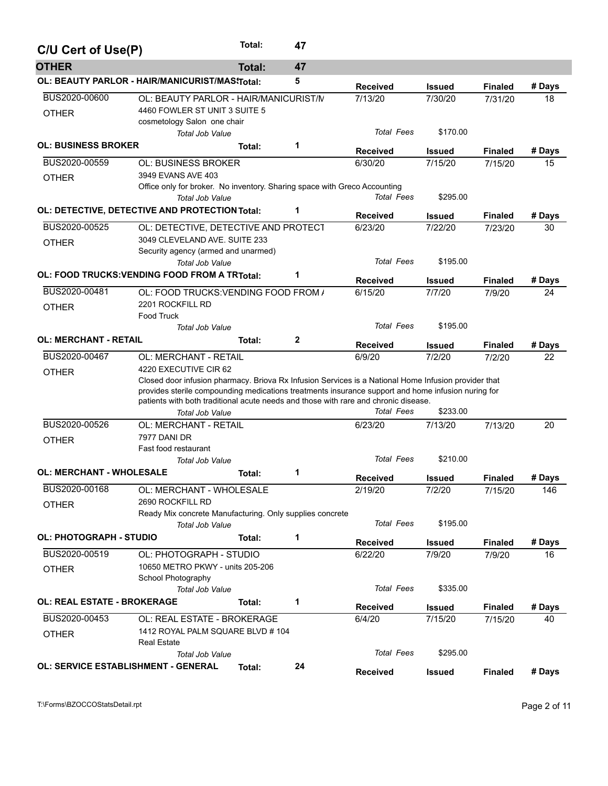| C/U Cert of Use(P)                         |                                                                                                      | Total: | 47           |                   |               |                |        |
|--------------------------------------------|------------------------------------------------------------------------------------------------------|--------|--------------|-------------------|---------------|----------------|--------|
| <b>OTHER</b>                               |                                                                                                      | Total: | 47           |                   |               |                |        |
|                                            | OL: BEAUTY PARLOR - HAIR/MANICURIST/MAS\Total:                                                       |        | 5            | <b>Received</b>   | <b>Issued</b> | <b>Finaled</b> | # Days |
| BUS2020-00600                              | OL: BEAUTY PARLOR - HAIR/MANICURIST/N                                                                |        |              | 7/13/20           | 7/30/20       | 7/31/20        | 18     |
| <b>OTHER</b>                               | 4460 FOWLER ST UNIT 3 SUITE 5                                                                        |        |              |                   |               |                |        |
|                                            | cosmetology Salon one chair                                                                          |        |              |                   |               |                |        |
|                                            | Total Job Value                                                                                      |        |              | <b>Total Fees</b> | \$170.00      |                |        |
| <b>OL: BUSINESS BROKER</b>                 |                                                                                                      | Total: | 1            | <b>Received</b>   | Issued        | <b>Finaled</b> | # Days |
| BUS2020-00559                              | <b>OL: BUSINESS BROKER</b>                                                                           |        |              | 6/30/20           | 7/15/20       | 7/15/20        | 15     |
| <b>OTHER</b>                               | 3949 EVANS AVE 403                                                                                   |        |              |                   |               |                |        |
|                                            | Office only for broker. No inventory. Sharing space with Greco Accounting                            |        |              |                   |               |                |        |
|                                            | Total Job Value                                                                                      |        |              | <b>Total Fees</b> | \$295.00      |                |        |
|                                            | OL: DETECTIVE, DETECTIVE AND PROTECTION Total:                                                       |        | 1            | <b>Received</b>   | <b>Issued</b> | <b>Finaled</b> | # Days |
| BUS2020-00525                              | OL: DETECTIVE, DETECTIVE AND PROTECT                                                                 |        |              | 6/23/20           | 7/22/20       | 7/23/20        | 30     |
| <b>OTHER</b>                               | 3049 CLEVELAND AVE, SUITE 233                                                                        |        |              |                   |               |                |        |
|                                            | Security agency (armed and unarmed)                                                                  |        |              |                   |               |                |        |
|                                            | <b>Total Job Value</b>                                                                               |        |              | <b>Total Fees</b> | \$195.00      |                |        |
|                                            | OL: FOOD TRUCKS: VENDING FOOD FROM A TRTotal:                                                        |        | 1            | <b>Received</b>   | Issued        | <b>Finaled</b> | # Days |
| BUS2020-00481                              | OL: FOOD TRUCKS: VENDING FOOD FROM /                                                                 |        |              | 6/15/20           | 7/7/20        | 7/9/20         | 24     |
| <b>OTHER</b>                               | 2201 ROCKFILL RD                                                                                     |        |              |                   |               |                |        |
|                                            | <b>Food Truck</b>                                                                                    |        |              |                   |               |                |        |
|                                            | <b>Total Job Value</b>                                                                               |        |              | <b>Total Fees</b> | \$195.00      |                |        |
| <b>OL: MERCHANT - RETAIL</b>               |                                                                                                      | Total: | $\mathbf{2}$ | <b>Received</b>   | Issued        | <b>Finaled</b> | # Days |
| BUS2020-00467                              | OL: MERCHANT - RETAIL                                                                                |        |              | 6/9/20            | 7/2/20        | 7/2/20         | 22     |
| <b>OTHER</b>                               | 4220 EXECUTIVE CIR 62                                                                                |        |              |                   |               |                |        |
|                                            | Closed door infusion pharmacy. Briova Rx Infusion Services is a National Home Infusion provider that |        |              |                   |               |                |        |
|                                            | provides sterile compounding medications treatments insurance support and home infusion nuring for   |        |              |                   |               |                |        |
|                                            | patients with both traditional acute needs and those with rare and chronic disease.                  |        |              |                   |               |                |        |
|                                            | Total Job Value                                                                                      |        |              | <b>Total Fees</b> | \$233.00      |                |        |
| BUS2020-00526                              | <b>OL: MERCHANT - RETAIL</b>                                                                         |        |              | 6/23/20           | 7/13/20       | 7/13/20        | 20     |
| <b>OTHER</b>                               | 7977 DANI DR                                                                                         |        |              |                   |               |                |        |
|                                            | Fast food restaurant<br>Total Job Value                                                              |        |              | <b>Total Fees</b> | \$210.00      |                |        |
| <b>OL: MERCHANT - WHOLESALE</b>            |                                                                                                      | Total: | 1            |                   |               |                |        |
|                                            |                                                                                                      |        |              | <b>Received</b>   | <b>Issued</b> | <b>Finaled</b> | # Days |
| BUS2020-00168                              | OL: MERCHANT - WHOLESALE                                                                             |        |              | 2/19/20           | 7/2/20        | 7/15/20        | 146    |
| <b>OTHER</b>                               | 2690 ROCKFILL RD                                                                                     |        |              |                   |               |                |        |
|                                            | Ready Mix concrete Manufacturing. Only supplies concrete                                             |        |              | <b>Total Fees</b> | \$195.00      |                |        |
|                                            | <b>Total Job Value</b>                                                                               |        |              |                   |               |                |        |
| <b>OL: PHOTOGRAPH - STUDIO</b>             |                                                                                                      | Total: | 1            | <b>Received</b>   | <b>Issued</b> | <b>Finaled</b> | # Days |
| BUS2020-00519                              | OL: PHOTOGRAPH - STUDIO                                                                              |        |              | 6/22/20           | 7/9/20        | 7/9/20         | 16     |
| <b>OTHER</b>                               | 10650 METRO PKWY - units 205-206                                                                     |        |              |                   |               |                |        |
|                                            | School Photography                                                                                   |        |              |                   |               |                |        |
|                                            | Total Job Value                                                                                      |        |              | <b>Total Fees</b> | \$335.00      |                |        |
| <b>OL: REAL ESTATE - BROKERAGE</b>         |                                                                                                      | Total: | 1            | <b>Received</b>   | Issued        | <b>Finaled</b> | # Days |
| BUS2020-00453                              | OL: REAL ESTATE - BROKERAGE                                                                          |        |              | 6/4/20            | 7/15/20       | 7/15/20        | 40     |
| <b>OTHER</b>                               | 1412 ROYAL PALM SQUARE BLVD # 104                                                                    |        |              |                   |               |                |        |
|                                            | <b>Real Estate</b>                                                                                   |        |              |                   |               |                |        |
|                                            | <b>Total Job Value</b>                                                                               |        |              | Total Fees        | \$295.00      |                |        |
| <b>OL: SERVICE ESTABLISHMENT - GENERAL</b> |                                                                                                      | Total: | 24           | <b>Received</b>   | <b>Issued</b> | <b>Finaled</b> | # Days |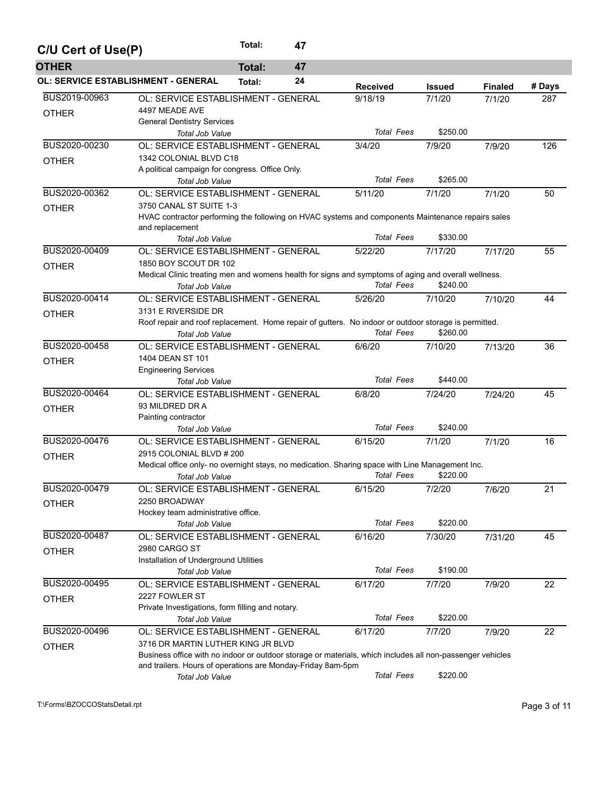| C/U Cert of Use(P)                         |                                                                                                                                                       | Total:<br>47        |                                                                                                           |               |                |        |  |  |  |
|--------------------------------------------|-------------------------------------------------------------------------------------------------------------------------------------------------------|---------------------|-----------------------------------------------------------------------------------------------------------|---------------|----------------|--------|--|--|--|
| <b>OTHER</b>                               |                                                                                                                                                       | 47<br><b>Total:</b> |                                                                                                           |               |                |        |  |  |  |
| <b>OL: SERVICE ESTABLISHMENT - GENERAL</b> |                                                                                                                                                       | 24<br>Total:        | <b>Received</b>                                                                                           | <b>Issued</b> | <b>Finaled</b> | # Days |  |  |  |
| BUS2019-00963<br><b>OTHER</b>              | OL: SERVICE ESTABLISHMENT - GENERAL<br>4497 MEADE AVE<br><b>General Dentistry Services</b>                                                            |                     | 9/18/19                                                                                                   | 7/1/20        | 7/1/20         | 287    |  |  |  |
|                                            | <b>Total Job Value</b>                                                                                                                                |                     | <b>Total Fees</b>                                                                                         | \$250.00      |                |        |  |  |  |
| BUS2020-00230                              | OL: SERVICE ESTABLISHMENT - GENERAL                                                                                                                   |                     | 3/4/20                                                                                                    | 7/9/20        | 7/9/20         | 126    |  |  |  |
| <b>OTHER</b>                               | 1342 COLONIAL BLVD C18                                                                                                                                |                     |                                                                                                           |               |                |        |  |  |  |
|                                            | A political campaign for congress. Office Only.                                                                                                       |                     |                                                                                                           |               |                |        |  |  |  |
|                                            | <b>Total Job Value</b>                                                                                                                                |                     | <b>Total Fees</b>                                                                                         | \$265.00      |                |        |  |  |  |
| BUS2020-00362                              | OL: SERVICE ESTABLISHMENT - GENERAL                                                                                                                   |                     | 5/11/20                                                                                                   | 7/1/20        | 7/1/20         | 50     |  |  |  |
| <b>OTHER</b>                               | 3750 CANAL ST SUITE 1-3                                                                                                                               |                     |                                                                                                           |               |                |        |  |  |  |
|                                            | HVAC contractor performing the following on HVAC systems and components Maintenance repairs sales<br>and replacement<br><b>Total Fees</b><br>\$330.00 |                     |                                                                                                           |               |                |        |  |  |  |
|                                            | <b>Total Job Value</b>                                                                                                                                |                     |                                                                                                           |               |                |        |  |  |  |
| BUS2020-00409                              | OL: SERVICE ESTABLISHMENT - GENERAL                                                                                                                   |                     | 5/22/20                                                                                                   | 7/17/20       | 7/17/20        | 55     |  |  |  |
| <b>OTHER</b>                               | 1850 BOY SCOUT DR 102<br>Medical Clinic treating men and womens health for signs and symptoms of aging and overall wellness.                          |                     |                                                                                                           |               |                |        |  |  |  |
|                                            | Total Job Value                                                                                                                                       |                     | <b>Total Fees</b>                                                                                         | \$240.00      |                |        |  |  |  |
| BUS2020-00414                              | OL: SERVICE ESTABLISHMENT - GENERAL                                                                                                                   |                     | 5/26/20                                                                                                   | 7/10/20       | 7/10/20        | 44     |  |  |  |
|                                            | 3131 E RIVERSIDE DR                                                                                                                                   |                     |                                                                                                           |               |                |        |  |  |  |
| <b>OTHER</b>                               |                                                                                                                                                       |                     | Roof repair and roof replacement. Home repair of gutters. No indoor or outdoor storage is permitted.      |               |                |        |  |  |  |
|                                            | Total Job Value                                                                                                                                       |                     | <b>Total Fees</b>                                                                                         | \$260.00      |                |        |  |  |  |
| BUS2020-00458                              | OL: SERVICE ESTABLISHMENT - GENERAL                                                                                                                   |                     | 6/6/20                                                                                                    | 7/10/20       | 7/13/20        | 36     |  |  |  |
|                                            | 1404 DEAN ST 101                                                                                                                                      |                     |                                                                                                           |               |                |        |  |  |  |
| <b>OTHER</b>                               | <b>Engineering Services</b>                                                                                                                           |                     |                                                                                                           |               |                |        |  |  |  |
|                                            | Total Job Value                                                                                                                                       |                     | <b>Total Fees</b>                                                                                         | \$440.00      |                |        |  |  |  |
| BUS2020-00464                              | OL: SERVICE ESTABLISHMENT - GENERAL                                                                                                                   |                     | 6/8/20                                                                                                    | 7/24/20       | 7/24/20        | 45     |  |  |  |
| <b>OTHER</b>                               | 93 MILDRED DR A                                                                                                                                       |                     |                                                                                                           |               |                |        |  |  |  |
|                                            | Painting contractor                                                                                                                                   |                     |                                                                                                           |               |                |        |  |  |  |
|                                            | Total Job Value                                                                                                                                       |                     | <b>Total Fees</b>                                                                                         | \$240.00      |                |        |  |  |  |
| BUS2020-00476                              | OL: SERVICE ESTABLISHMENT - GENERAL                                                                                                                   |                     | 6/15/20                                                                                                   | 7/1/20        | 7/1/20         | 16     |  |  |  |
| <b>OTHER</b>                               | 2915 COLONIAL BLVD # 200                                                                                                                              |                     |                                                                                                           |               |                |        |  |  |  |
|                                            |                                                                                                                                                       |                     | Medical office only- no overnight stays, no medication. Sharing space with Line Management Inc.           |               |                |        |  |  |  |
|                                            | Total Job Value                                                                                                                                       |                     | <b>Total Fees</b>                                                                                         | \$220.00      |                |        |  |  |  |
| BUS2020-00479                              | OL: SERVICE ESTABLISHMENT - GENERAL                                                                                                                   |                     | 6/15/20                                                                                                   | 7/2/20        | 7/6/20         | 21     |  |  |  |
| <b>OTHER</b>                               | 2250 BROADWAY<br>Hockey team administrative office.                                                                                                   |                     |                                                                                                           |               |                |        |  |  |  |
|                                            | Total Job Value                                                                                                                                       |                     | <b>Total Fees</b>                                                                                         | \$220.00      |                |        |  |  |  |
| BUS2020-00487                              | OL: SERVICE ESTABLISHMENT - GENERAL                                                                                                                   |                     | 6/16/20                                                                                                   | 7/30/20       | 7/31/20        | 45     |  |  |  |
|                                            | 2980 CARGO ST                                                                                                                                         |                     |                                                                                                           |               |                |        |  |  |  |
| <b>OTHER</b>                               | Installation of Underground Utilities                                                                                                                 |                     |                                                                                                           |               |                |        |  |  |  |
|                                            | <b>Total Job Value</b>                                                                                                                                |                     | <b>Total Fees</b>                                                                                         | \$190.00      |                |        |  |  |  |
| BUS2020-00495                              | OL: SERVICE ESTABLISHMENT - GENERAL                                                                                                                   |                     | 6/17/20                                                                                                   | 7/7/20        | 7/9/20         | 22     |  |  |  |
| <b>OTHER</b>                               | 2227 FOWLER ST                                                                                                                                        |                     |                                                                                                           |               |                |        |  |  |  |
|                                            | Private Investigations, form filling and notary.                                                                                                      |                     |                                                                                                           |               |                |        |  |  |  |
|                                            | Total Job Value                                                                                                                                       |                     | <b>Total Fees</b>                                                                                         | \$220.00      |                |        |  |  |  |
| BUS2020-00496                              | OL: SERVICE ESTABLISHMENT - GENERAL                                                                                                                   |                     | 6/17/20                                                                                                   | 7/7/20        | 7/9/20         | 22     |  |  |  |
| <b>OTHER</b>                               | 3716 DR MARTIN LUTHER KING JR BLVD                                                                                                                    |                     |                                                                                                           |               |                |        |  |  |  |
|                                            |                                                                                                                                                       |                     | Business office with no indoor or outdoor storage or materials, which includes all non-passenger vehicles |               |                |        |  |  |  |
|                                            | and trailers. Hours of operations are Monday-Friday 8am-5pm                                                                                           |                     |                                                                                                           |               |                |        |  |  |  |
|                                            | Total Job Value                                                                                                                                       |                     | <b>Total Fees</b>                                                                                         | \$220.00      |                |        |  |  |  |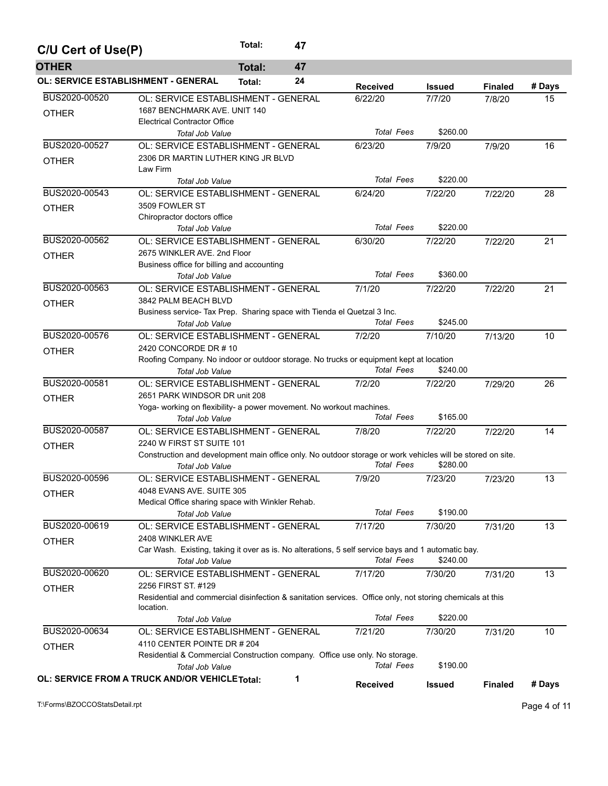| C/U Cert of Use(P)                         |                                                                                                                                                                                                          | Total:<br>47        |                              |                     |                |        |
|--------------------------------------------|----------------------------------------------------------------------------------------------------------------------------------------------------------------------------------------------------------|---------------------|------------------------------|---------------------|----------------|--------|
| <b>OTHER</b>                               |                                                                                                                                                                                                          | <b>Total:</b><br>47 |                              |                     |                |        |
| <b>OL: SERVICE ESTABLISHMENT - GENERAL</b> |                                                                                                                                                                                                          | 24<br>Total:        | <b>Received</b>              | <b>Issued</b>       | <b>Finaled</b> | # Days |
| BUS2020-00520<br><b>OTHER</b>              | OL: SERVICE ESTABLISHMENT - GENERAL<br>1687 BENCHMARK AVE. UNIT 140<br><b>Electrical Contractor Office</b>                                                                                               |                     | 6/22/20<br><b>Total Fees</b> | 7/7/20<br>\$260.00  | 7/8/20         | 15     |
| BUS2020-00527                              | <b>Total Job Value</b><br>OL: SERVICE ESTABLISHMENT - GENERAL                                                                                                                                            |                     | 6/23/20                      | 7/9/20              | 7/9/20         | 16     |
| <b>OTHER</b>                               | 2306 DR MARTIN LUTHER KING JR BLVD<br>Law Firm                                                                                                                                                           |                     | <b>Total Fees</b>            | \$220.00            |                |        |
| BUS2020-00543                              | Total Job Value                                                                                                                                                                                          |                     |                              |                     |                |        |
| <b>OTHER</b>                               | OL: SERVICE ESTABLISHMENT - GENERAL<br>3509 FOWLER ST<br>Chiropractor doctors office                                                                                                                     |                     | 6/24/20<br><b>Total Fees</b> | 7/22/20<br>\$220.00 | 7/22/20        | 28     |
| BUS2020-00562                              | <b>Total Job Value</b><br>OL: SERVICE ESTABLISHMENT - GENERAL                                                                                                                                            |                     |                              |                     |                |        |
| <b>OTHER</b>                               | 2675 WINKLER AVE, 2nd Floor<br>Business office for billing and accounting                                                                                                                                |                     | 6/30/20                      | 7/22/20             | 7/22/20        | 21     |
|                                            | <b>Total Job Value</b>                                                                                                                                                                                   |                     | <b>Total Fees</b>            | \$360.00            |                |        |
| BUS2020-00563<br><b>OTHER</b>              | OL: SERVICE ESTABLISHMENT - GENERAL<br>3842 PALM BEACH BLVD<br>Business service- Tax Prep. Sharing space with Tienda el Quetzal 3 Inc.                                                                   |                     | 7/1/20<br><b>Total Fees</b>  | 7/22/20<br>\$245.00 | 7/22/20        | 21     |
| BUS2020-00576                              | <b>Total Job Value</b><br>OL: SERVICE ESTABLISHMENT - GENERAL                                                                                                                                            |                     | 7/2/20                       | 7/10/20             | 7/13/20        | 10     |
| <b>OTHER</b>                               | 2420 CONCORDE DR #10<br>Roofing Company. No indoor or outdoor storage. No trucks or equipment kept at location<br><b>Total Job Value</b>                                                                 |                     | <b>Total Fees</b>            | \$240.00            |                |        |
| BUS2020-00581<br><b>OTHER</b>              | OL: SERVICE ESTABLISHMENT - GENERAL<br>2651 PARK WINDSOR DR unit 208<br>Yoga- working on flexibility- a power movement. No workout machines.<br><b>Total Job Value</b>                                   |                     | 7/2/20<br><b>Total Fees</b>  | 7/22/20<br>\$165.00 | 7/29/20        | 26     |
| BUS2020-00587<br><b>OTHER</b>              | OL: SERVICE ESTABLISHMENT - GENERAL<br>2240 W FIRST ST SUITE 101<br>Construction and development main office only. No outdoor storage or work vehicles will be stored on site.<br><b>Total Job Value</b> |                     | 7/8/20<br><b>Total Fees</b>  | 7/22/20<br>\$280.00 | 7/22/20        | 14     |
| BUS2020-00596<br><b>OTHER</b>              | OL: SERVICE ESTABLISHMENT - GENERAL<br>4048 EVANS AVE. SUITE 305<br>Medical Office sharing space with Winkler Rehab.                                                                                     |                     | 7/9/20                       | 7/23/20             | 7/23/20        | 13     |
|                                            | <b>Total Job Value</b>                                                                                                                                                                                   |                     | <b>Total Fees</b>            | \$190.00            |                |        |
| BUS2020-00619<br><b>OTHER</b>              | OL: SERVICE ESTABLISHMENT - GENERAL<br>2408 WINKLER AVE<br>Car Wash. Existing, taking it over as is. No alterations, 5 self service bays and 1 automatic bay.<br><b>Total Job Value</b>                  |                     | 7/17/20<br><b>Total Fees</b> | 7/30/20<br>\$240.00 | 7/31/20        | 13     |
| BUS2020-00620                              | OL: SERVICE ESTABLISHMENT - GENERAL                                                                                                                                                                      |                     | 7/17/20                      | 7/30/20             | 7/31/20        | 13     |
| <b>OTHER</b>                               | 2256 FIRST ST. #129<br>Residential and commercial disinfection & sanitation services. Office only, not storing chemicals at this<br>location.<br><b>Total Job Value</b>                                  |                     | <b>Total Fees</b>            | \$220.00            |                |        |
| BUS2020-00634                              | OL: SERVICE ESTABLISHMENT - GENERAL                                                                                                                                                                      |                     | 7/21/20                      | 7/30/20             | 7/31/20        | 10     |
| <b>OTHER</b>                               | 4110 CENTER POINTE DR # 204<br>Residential & Commercial Construction company. Office use only. No storage.<br>Total Job Value                                                                            |                     | <b>Total Fees</b>            | \$190.00            |                |        |
|                                            | <b>OL: SERVICE FROM A TRUCK AND/OR VEHICLE Total:</b>                                                                                                                                                    | 1                   | <b>Received</b>              | <b>Issued</b>       | <b>Finaled</b> | # Days |

T:\Forms\BZOCCOStatsDetail.rpt Page 4 of 11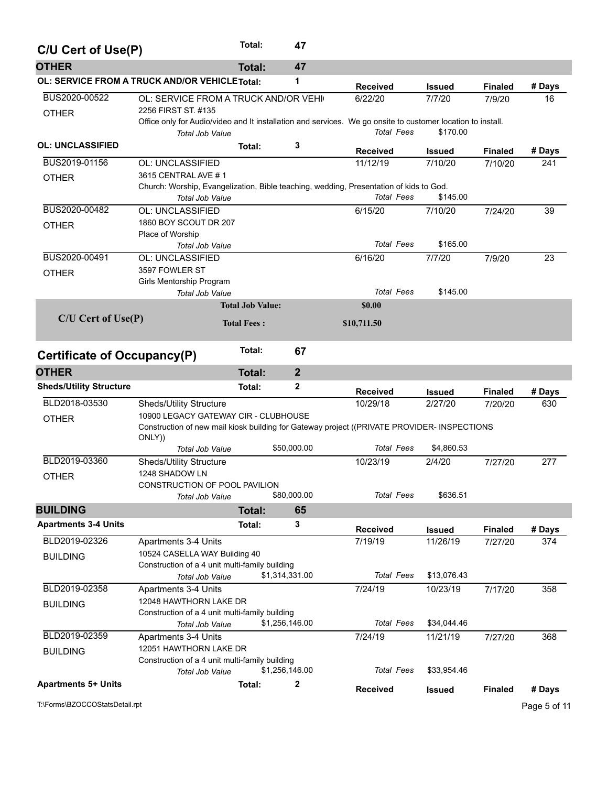| C/U Cert of Use(P)             |                                                                                                             | Total:                  | 47             |                   |               |                |              |
|--------------------------------|-------------------------------------------------------------------------------------------------------------|-------------------------|----------------|-------------------|---------------|----------------|--------------|
| <b>OTHER</b>                   |                                                                                                             | <b>Total:</b>           | 47             |                   |               |                |              |
|                                | OL: SERVICE FROM A TRUCK AND/OR VEHICLE Total:                                                              |                         | 1              | <b>Received</b>   | <b>Issued</b> | <b>Finaled</b> | # Days       |
| BUS2020-00522                  | OL: SERVICE FROM A TRUCK AND/OR VEHI                                                                        |                         |                | 6/22/20           | 7/7/20        | 7/9/20         | 16           |
| <b>OTHER</b>                   | 2256 FIRST ST. #135                                                                                         |                         |                |                   |               |                |              |
|                                | Office only for Audio/video and It installation and services. We go onsite to customer location to install. |                         |                |                   |               |                |              |
|                                | Total Job Value                                                                                             |                         |                | Total Fees        | \$170.00      |                |              |
| <b>OL: UNCLASSIFIED</b>        |                                                                                                             | Total:                  | 3              | <b>Received</b>   | <b>Issued</b> | <b>Finaled</b> | # Days       |
| BUS2019-01156                  | OL: UNCLASSIFIED                                                                                            |                         |                | 11/12/19          | 7/10/20       | 7/10/20        | 241          |
| <b>OTHER</b>                   | 3615 CENTRAL AVE #1                                                                                         |                         |                |                   |               |                |              |
|                                | Church: Worship, Evangelization, Bible teaching, wedding, Presentation of kids to God.                      |                         |                |                   |               |                |              |
|                                | Total Job Value                                                                                             |                         |                | <b>Total Fees</b> | \$145.00      |                |              |
| BUS2020-00482                  | OL: UNCLASSIFIED                                                                                            |                         |                | 6/15/20           | 7/10/20       | 7/24/20        | 39           |
| <b>OTHER</b>                   | 1860 BOY SCOUT DR 207                                                                                       |                         |                |                   |               |                |              |
|                                | Place of Worship                                                                                            |                         |                | <b>Total Fees</b> | \$165.00      |                |              |
|                                | Total Job Value                                                                                             |                         |                |                   |               |                |              |
| BUS2020-00491                  | OL: UNCLASSIFIED                                                                                            |                         |                | 6/16/20           | 7/7/20        | 7/9/20         | 23           |
| <b>OTHER</b>                   | 3597 FOWLER ST                                                                                              |                         |                |                   |               |                |              |
|                                | Girls Mentorship Program<br><b>Total Job Value</b>                                                          |                         |                | <b>Total Fees</b> | \$145.00      |                |              |
|                                |                                                                                                             | <b>Total Job Value:</b> |                | \$0.00            |               |                |              |
| $C/U$ Cert of Use $(P)$        |                                                                                                             |                         |                |                   |               |                |              |
|                                |                                                                                                             | <b>Total Fees:</b>      |                | \$10,711.50       |               |                |              |
|                                |                                                                                                             |                         |                |                   |               |                |              |
| Certificate of Occupancy(P)    |                                                                                                             | Total:                  | 67             |                   |               |                |              |
| <b>OTHER</b>                   |                                                                                                             | <b>Total:</b>           | $\overline{2}$ |                   |               |                |              |
| <b>Sheds/Utility Structure</b> |                                                                                                             | Total:                  | $\mathbf{2}$   | <b>Received</b>   | Issued        | <b>Finaled</b> | # Days       |
| BLD2018-03530                  | <b>Sheds/Utility Structure</b>                                                                              |                         |                | 10/29/18          | 2/27/20       | 7/20/20        | 630          |
| <b>OTHER</b>                   | 10900 LEGACY GATEWAY CIR - CLUBHOUSE                                                                        |                         |                |                   |               |                |              |
|                                | Construction of new mail kiosk building for Gateway project ((PRIVATE PROVIDER- INSPECTIONS                 |                         |                |                   |               |                |              |
|                                | ONLY))                                                                                                      |                         |                |                   |               |                |              |
|                                | <b>Total Job Value</b>                                                                                      |                         | \$50,000.00    | <b>Total Fees</b> | \$4,860.53    |                |              |
| BLD2019-03360                  | <b>Sheds/Utility Structure</b>                                                                              |                         |                | 10/23/19          | 2/4/20        | 7/27/20        | 277          |
| <b>OTHER</b>                   | 1248 SHADOW LN                                                                                              |                         |                |                   |               |                |              |
|                                | CONSTRUCTION OF POOL PAVILION                                                                               |                         |                |                   |               |                |              |
|                                | Total Job Value                                                                                             |                         | \$80,000.00    | <b>Total Fees</b> | \$636.51      |                |              |
| <b>BUILDING</b>                |                                                                                                             | <b>Total:</b>           | 65             |                   |               |                |              |
| <b>Apartments 3-4 Units</b>    |                                                                                                             | Total:                  | 3              | <b>Received</b>   | <b>Issued</b> | <b>Finaled</b> | # Days       |
| BLD2019-02326                  | Apartments 3-4 Units                                                                                        |                         |                | 7/19/19           | 11/26/19      | 7/27/20        | 374          |
| <b>BUILDING</b>                | 10524 CASELLA WAY Building 40                                                                               |                         |                |                   |               |                |              |
|                                | Construction of a 4 unit multi-family building                                                              |                         |                |                   |               |                |              |
|                                | Total Job Value                                                                                             |                         | \$1,314,331.00 | <b>Total Fees</b> | \$13,076.43   |                |              |
| BLD2019-02358                  | Apartments 3-4 Units                                                                                        |                         |                | 7/24/19           | 10/23/19      | 7/17/20        | 358          |
| <b>BUILDING</b>                | 12048 HAWTHORN LAKE DR                                                                                      |                         |                |                   |               |                |              |
|                                | Construction of a 4 unit multi-family building                                                              |                         |                |                   |               |                |              |
|                                | Total Job Value                                                                                             |                         | \$1,256,146.00 | <b>Total Fees</b> | \$34,044.46   |                |              |
| BLD2019-02359                  | Apartments 3-4 Units                                                                                        |                         |                | 7/24/19           | 11/21/19      | 7/27/20        | 368          |
| <b>BUILDING</b>                | 12051 HAWTHORN LAKE DR                                                                                      |                         |                |                   |               |                |              |
|                                | Construction of a 4 unit multi-family building                                                              |                         |                |                   |               |                |              |
|                                | Total Job Value                                                                                             |                         | \$1,256,146.00 | <b>Total Fees</b> | \$33,954.46   |                |              |
| <b>Apartments 5+ Units</b>     |                                                                                                             | Total:                  | $\mathbf{2}$   | <b>Received</b>   | <b>Issued</b> | <b>Finaled</b> | # Days       |
| T:\Forms\BZOCCOStatsDetail.rpt |                                                                                                             |                         |                |                   |               |                | Page 5 of 11 |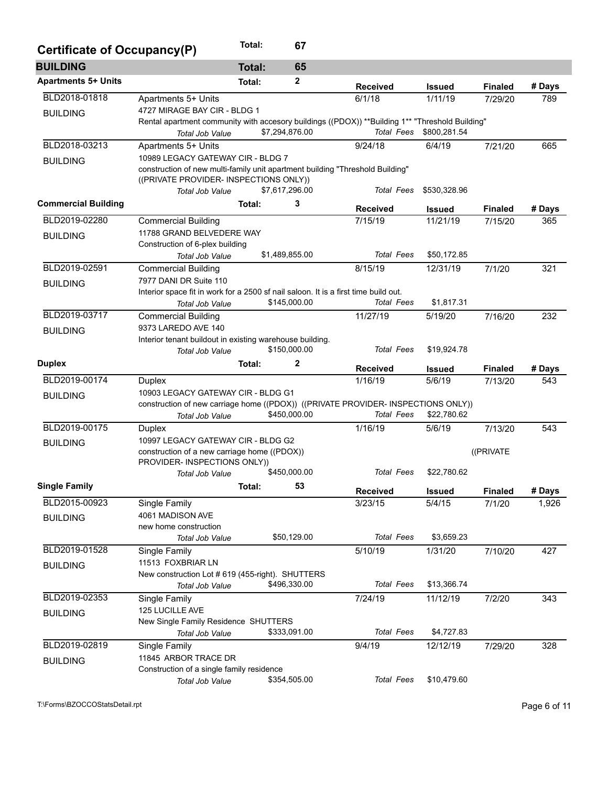| Certificate of Occupancy(P) |                                                                                                                         | Total:        | 67             |                   |                           |                |        |
|-----------------------------|-------------------------------------------------------------------------------------------------------------------------|---------------|----------------|-------------------|---------------------------|----------------|--------|
| <b>BUILDING</b>             |                                                                                                                         | <b>Total:</b> | 65             |                   |                           |                |        |
| <b>Apartments 5+ Units</b>  |                                                                                                                         | Total:        | 2              | <b>Received</b>   | <b>Issued</b>             | <b>Finaled</b> | # Days |
| BLD2018-01818               | Apartments 5+ Units                                                                                                     |               |                | 6/1/18            | 1/11/19                   | 7/29/20        | 789    |
| <b>BUILDING</b>             | 4727 MIRAGE BAY CIR - BLDG 1                                                                                            |               |                |                   |                           |                |        |
|                             | Rental apartment community with accesory buildings ((PDOX)) **Building 1** "Threshold Building"                         |               |                |                   |                           |                |        |
|                             | Total Job Value                                                                                                         |               | \$7,294,876.00 | <b>Total Fees</b> | \$800,281.54              |                |        |
| BLD2018-03213               | Apartments 5+ Units                                                                                                     |               |                | 9/24/18           | 6/4/19                    | 7/21/20        | 665    |
| <b>BUILDING</b>             | 10989 LEGACY GATEWAY CIR - BLDG 7                                                                                       |               |                |                   |                           |                |        |
|                             | construction of new multi-family unit apartment building "Threshold Building"<br>((PRIVATE PROVIDER- INSPECTIONS ONLY)) |               |                |                   |                           |                |        |
|                             | Total Job Value                                                                                                         |               | \$7,617,296.00 | <b>Total Fees</b> | \$530,328.96              |                |        |
| <b>Commercial Building</b>  |                                                                                                                         | Total:        | 3              | <b>Received</b>   |                           | <b>Finaled</b> | # Days |
| BLD2019-02280               | <b>Commercial Building</b>                                                                                              |               |                | 7/15/19           | <b>Issued</b><br>11/21/19 | 7/15/20        | 365    |
|                             | 11788 GRAND BELVEDERE WAY                                                                                               |               |                |                   |                           |                |        |
| <b>BUILDING</b>             | Construction of 6-plex building                                                                                         |               |                |                   |                           |                |        |
|                             | Total Job Value                                                                                                         |               | \$1,489,855.00 | <b>Total Fees</b> | \$50,172.85               |                |        |
| BLD2019-02591               | <b>Commercial Building</b>                                                                                              |               |                | 8/15/19           | 12/31/19                  | 7/1/20         | 321    |
| <b>BUILDING</b>             | 7977 DANI DR Suite 110                                                                                                  |               |                |                   |                           |                |        |
|                             | Interior space fit in work for a 2500 sf nail saloon. It is a first time build out.                                     |               |                |                   |                           |                |        |
|                             | <b>Total Job Value</b>                                                                                                  |               | \$145,000.00   | <b>Total Fees</b> | \$1,817.31                |                |        |
| BLD2019-03717               | <b>Commercial Building</b>                                                                                              |               |                | 11/27/19          | 5/19/20                   | 7/16/20        | 232    |
| <b>BUILDING</b>             | 9373 LAREDO AVE 140                                                                                                     |               |                |                   |                           |                |        |
|                             | Interior tenant buildout in existing warehouse building.<br>Total Job Value                                             |               | \$150,000.00   | <b>Total Fees</b> | \$19,924.78               |                |        |
| <b>Duplex</b>               |                                                                                                                         | Total:        | 2              |                   |                           |                |        |
|                             |                                                                                                                         |               |                | <b>Received</b>   | <b>Issued</b>             | <b>Finaled</b> | # Days |
| BLD2019-00174               | Duplex                                                                                                                  |               |                | 1/16/19           | 5/6/19                    | 7/13/20        | 543    |
| <b>BUILDING</b>             | 10903 LEGACY GATEWAY CIR - BLDG G1<br>construction of new carriage home ((PDOX)) ((PRIVATE PROVIDER- INSPECTIONS ONLY)) |               |                |                   |                           |                |        |
|                             | Total Job Value                                                                                                         |               | \$450,000.00   | <b>Total Fees</b> | \$22,780.62               |                |        |
| BLD2019-00175               | <b>Duplex</b>                                                                                                           |               |                | 1/16/19           | 5/6/19                    | 7/13/20        | 543    |
| <b>BUILDING</b>             | 10997 LEGACY GATEWAY CIR - BLDG G2                                                                                      |               |                |                   |                           |                |        |
|                             | construction of a new carriage home ((PDOX))                                                                            |               |                |                   |                           | ((PRIVATE      |        |
|                             | PROVIDER- INSPECTIONS ONLY))                                                                                            |               |                |                   |                           |                |        |
|                             | <b>Total Job Value</b>                                                                                                  |               | \$450,000.00   | <b>Total Fees</b> | \$22.780.62               |                |        |
| <b>Single Family</b>        |                                                                                                                         | Total:        | 53             | <b>Received</b>   | <b>Issued</b>             | <b>Finaled</b> | # Days |
| BLD2015-00923               | Single Family                                                                                                           |               |                | 3/23/15           | 5/4/15                    | 7/1/20         | 1,926  |
| <b>BUILDING</b>             | 4061 MADISON AVE                                                                                                        |               |                |                   |                           |                |        |
|                             | new home construction                                                                                                   |               |                |                   |                           |                |        |
|                             | <b>Total Job Value</b>                                                                                                  |               | \$50,129.00    | <b>Total Fees</b> | \$3,659.23                |                |        |
| BLD2019-01528               | Single Family                                                                                                           |               |                | 5/10/19           | 1/31/20                   | 7/10/20        | 427    |
| <b>BUILDING</b>             | 11513 FOXBRIAR LN                                                                                                       |               |                |                   |                           |                |        |
|                             | New construction Lot # 619 (455-right). SHUTTERS<br>Total Job Value                                                     |               | \$496,330.00   | <b>Total Fees</b> | \$13,366.74               |                |        |
| BLD2019-02353               | Single Family                                                                                                           |               |                | 7/24/19           | 11/12/19                  | 7/2/20         | 343    |
|                             | 125 LUCILLE AVE                                                                                                         |               |                |                   |                           |                |        |
| <b>BUILDING</b>             | New Single Family Residence SHUTTERS                                                                                    |               |                |                   |                           |                |        |
|                             | Total Job Value                                                                                                         |               | \$333,091.00   | <b>Total Fees</b> | \$4,727.83                |                |        |
| BLD2019-02819               | Single Family                                                                                                           |               |                | 9/4/19            | 12/12/19                  | 7/29/20        | 328    |
| <b>BUILDING</b>             | 11845 ARBOR TRACE DR                                                                                                    |               |                |                   |                           |                |        |
|                             | Construction of a single family residence                                                                               |               |                |                   |                           |                |        |
|                             | Total Job Value                                                                                                         |               | \$354,505.00   | <b>Total Fees</b> | \$10,479.60               |                |        |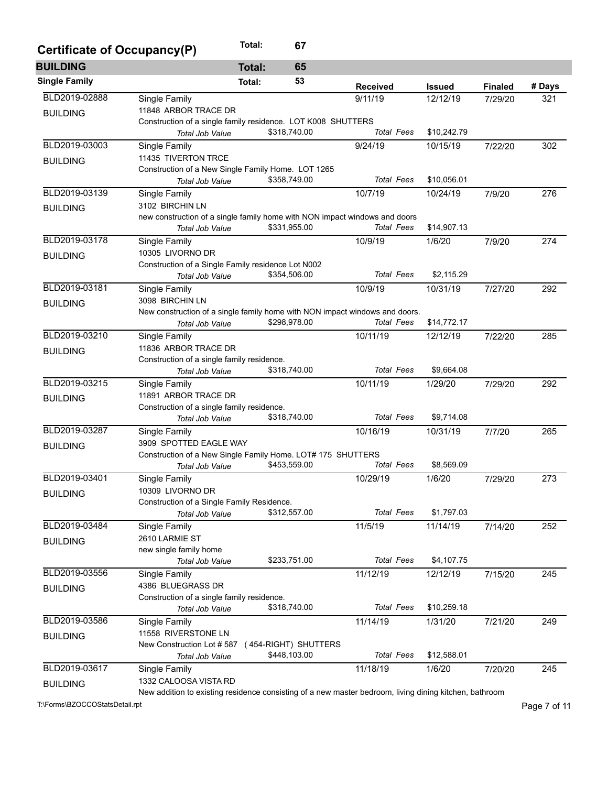| Certificate of Occupancy(P) |                                                                                                        | Total:        | 67                   |                   |               |                |        |  |  |
|-----------------------------|--------------------------------------------------------------------------------------------------------|---------------|----------------------|-------------------|---------------|----------------|--------|--|--|
| <b>BUILDING</b>             |                                                                                                        | <b>Total:</b> | 65                   |                   |               |                |        |  |  |
| <b>Single Family</b>        |                                                                                                        | Total:        | 53                   | <b>Received</b>   | <b>Issued</b> | <b>Finaled</b> | # Days |  |  |
| BLD2019-02888               | Single Family                                                                                          |               |                      | 9/11/19           | 12/12/19      | 7/29/20        | 321    |  |  |
| <b>BUILDING</b>             | 11848 ARBOR TRACE DR                                                                                   |               |                      |                   |               |                |        |  |  |
|                             | Construction of a single family residence. LOT K008 SHUTTERS                                           |               |                      |                   |               |                |        |  |  |
|                             | Total Job Value                                                                                        |               | \$318,740.00         | <b>Total Fees</b> | \$10,242.79   |                |        |  |  |
| BLD2019-03003               | Single Family                                                                                          |               |                      | 9/24/19           | 10/15/19      | 7/22/20        | 302    |  |  |
| <b>BUILDING</b>             | 11435 TIVERTON TRCE                                                                                    |               |                      |                   |               |                |        |  |  |
|                             | Construction of a New Single Family Home. LOT 1265                                                     |               |                      |                   |               |                |        |  |  |
|                             | Total Job Value                                                                                        |               | \$358,749.00         | <b>Total Fees</b> | \$10,056.01   |                |        |  |  |
| BLD2019-03139               | Single Family                                                                                          |               |                      | 10/7/19           | 10/24/19      | 7/9/20         | 276    |  |  |
| <b>BUILDING</b>             | 3102 BIRCHIN LN                                                                                        |               |                      |                   |               |                |        |  |  |
|                             | new construction of a single family home with NON impact windows and doors                             |               |                      |                   |               |                |        |  |  |
|                             | Total Job Value                                                                                        |               | \$331,955.00         | <b>Total Fees</b> | \$14,907.13   |                |        |  |  |
| BLD2019-03178               | Single Family                                                                                          |               |                      | 10/9/19           | 1/6/20        | 7/9/20         | 274    |  |  |
| <b>BUILDING</b>             | 10305 LIVORNO DR                                                                                       |               |                      |                   |               |                |        |  |  |
|                             | Construction of a Single Family residence Lot N002                                                     |               |                      |                   |               |                |        |  |  |
|                             | <b>Total Job Value</b>                                                                                 |               | \$354,506.00         | Total Fees        | \$2,115.29    |                |        |  |  |
| BLD2019-03181               | Single Family                                                                                          |               |                      | 10/9/19           | 10/31/19      | 7/27/20        | 292    |  |  |
| <b>BUILDING</b>             | 3098 BIRCHIN LN                                                                                        |               |                      |                   |               |                |        |  |  |
|                             | New construction of a single family home with NON impact windows and doors.                            |               |                      |                   |               |                |        |  |  |
|                             | <b>Total Job Value</b>                                                                                 |               | \$298,978.00         | <b>Total Fees</b> | \$14,772.17   |                |        |  |  |
| BLD2019-03210               | Single Family                                                                                          |               |                      | 10/11/19          | 12/12/19      | 7/22/20        | 285    |  |  |
| <b>BUILDING</b>             | 11836 ARBOR TRACE DR                                                                                   |               |                      |                   |               |                |        |  |  |
|                             | Construction of a single family residence.                                                             |               |                      | <b>Total Fees</b> |               |                |        |  |  |
|                             | Total Job Value                                                                                        |               | \$318,740.00         |                   | \$9,664.08    |                |        |  |  |
| BLD2019-03215               | Single Family                                                                                          |               |                      | 10/11/19          | 1/29/20       | 7/29/20        | 292    |  |  |
| <b>BUILDING</b>             | 11891 ARBOR TRACE DR                                                                                   |               |                      |                   |               |                |        |  |  |
|                             | Construction of a single family residence.                                                             |               | \$318,740.00         | <b>Total Fees</b> | \$9,714.08    |                |        |  |  |
| BLD2019-03287               | Total Job Value                                                                                        |               |                      |                   |               |                |        |  |  |
|                             | Single Family                                                                                          |               |                      | 10/16/19          | 10/31/19      | 7/7/20         | 265    |  |  |
| <b>BUILDING</b>             | 3909 SPOTTED EAGLE WAY<br>Construction of a New Single Family Home. LOT# 175 SHUTTERS                  |               |                      |                   |               |                |        |  |  |
|                             | Total Job Value                                                                                        |               | \$453,559.00         | <b>Total Fees</b> | \$8,569.09    |                |        |  |  |
|                             |                                                                                                        |               |                      |                   |               |                |        |  |  |
| BLD2019-03401               | Single Family                                                                                          |               |                      | 10/29/19          | 1/6/20        | 7/29/20        | 273    |  |  |
| <b>BUILDING</b>             | 10309 LIVORNO DR                                                                                       |               |                      |                   |               |                |        |  |  |
|                             | Construction of a Single Family Residence.<br>Total Job Value                                          |               | \$312,557.00         | <b>Total Fees</b> | \$1,797.03    |                |        |  |  |
| BLD2019-03484               |                                                                                                        |               |                      |                   | 11/14/19      |                | 252    |  |  |
|                             | Single Family                                                                                          |               |                      | 11/5/19           |               | 7/14/20        |        |  |  |
| <b>BUILDING</b>             | 2610 LARMIE ST                                                                                         |               |                      |                   |               |                |        |  |  |
|                             | new single family home<br>Total Job Value                                                              |               | \$233,751.00         | <b>Total Fees</b> | \$4,107.75    |                |        |  |  |
| BLD2019-03556               |                                                                                                        |               |                      | 11/12/19          |               |                | 245    |  |  |
|                             | Single Family<br>4386 BLUEGRASS DR                                                                     |               |                      |                   | 12/12/19      | 7/15/20        |        |  |  |
| <b>BUILDING</b>             | Construction of a single family residence.                                                             |               |                      |                   |               |                |        |  |  |
|                             | Total Job Value                                                                                        |               | \$318,740.00         | <b>Total Fees</b> | \$10,259.18   |                |        |  |  |
| BLD2019-03586               | Single Family                                                                                          |               |                      | 11/14/19          | 1/31/20       |                | 249    |  |  |
|                             | 11558 RIVERSTONE LN                                                                                    |               |                      |                   |               | 7/21/20        |        |  |  |
| <b>BUILDING</b>             | New Construction Lot #587                                                                              |               | (454-RIGHT) SHUTTERS |                   |               |                |        |  |  |
|                             | Total Job Value                                                                                        |               | \$448,103.00         | <b>Total Fees</b> | \$12,588.01   |                |        |  |  |
| BLD2019-03617               |                                                                                                        |               |                      | 11/18/19          | 1/6/20        |                | 245    |  |  |
|                             | Single Family<br>1332 CALOOSA VISTA RD                                                                 |               |                      |                   |               | 7/20/20        |        |  |  |
| <b>BUILDING</b>             | New addition to existing residence consisting of a new master bedroom, living dining kitchen, bathroom |               |                      |                   |               |                |        |  |  |

T:\Forms\BZOCCOStatsDetail.rpt Page 7 of 11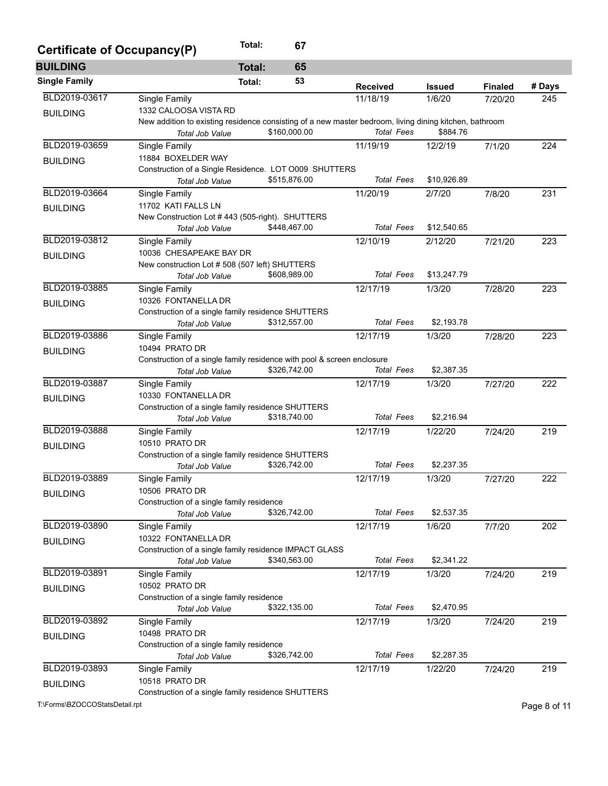| Certificate of Occupancy(P) |                                                                                                        | Total:        | 67           |                   |               |                |        |
|-----------------------------|--------------------------------------------------------------------------------------------------------|---------------|--------------|-------------------|---------------|----------------|--------|
| <b>BUILDING</b>             |                                                                                                        | <b>Total:</b> | 65           |                   |               |                |        |
| <b>Single Family</b>        |                                                                                                        | Total:        | 53           | <b>Received</b>   | <b>Issued</b> | <b>Finaled</b> | # Days |
| BLD2019-03617               | Single Family                                                                                          |               |              | 11/18/19          | 1/6/20        | 7/20/20        | 245    |
| <b>BUILDING</b>             | 1332 CALOOSA VISTA RD                                                                                  |               |              |                   |               |                |        |
|                             | New addition to existing residence consisting of a new master bedroom, living dining kitchen, bathroom |               |              |                   |               |                |        |
|                             | Total Job Value                                                                                        |               | \$160,000.00 | <b>Total Fees</b> | \$884.76      |                |        |
| BLD2019-03659               | Single Family                                                                                          |               |              | 11/19/19          | 12/2/19       | 7/1/20         | 224    |
| <b>BUILDING</b>             | 11884 BOXELDER WAY                                                                                     |               |              |                   |               |                |        |
|                             | Construction of a Single Residence. LOT 0009 SHUTTERS                                                  |               |              |                   |               |                |        |
|                             | <b>Total Job Value</b>                                                                                 |               | \$515,876.00 | <b>Total Fees</b> | \$10,926.89   |                |        |
| BLD2019-03664               | Single Family                                                                                          |               |              | 11/20/19          | 2/7/20        | 7/8/20         | 231    |
| <b>BUILDING</b>             | 11702 KATI FALLS LN                                                                                    |               |              |                   |               |                |        |
|                             | New Construction Lot #443 (505-right). SHUTTERS                                                        |               |              |                   |               |                |        |
|                             | Total Job Value                                                                                        |               | \$448,467.00 | <b>Total Fees</b> | \$12,540.65   |                |        |
| BLD2019-03812               | Single Family                                                                                          |               |              | 12/10/19          | 2/12/20       | 7/21/20        | 223    |
| <b>BUILDING</b>             | 10036 CHESAPEAKE BAY DR                                                                                |               |              |                   |               |                |        |
|                             | New construction Lot # 508 (507 left) SHUTTERS                                                         |               |              |                   |               |                |        |
|                             | <b>Total Job Value</b>                                                                                 |               | \$608,989.00 | <b>Total Fees</b> | \$13,247.79   |                |        |
| BLD2019-03885               | <b>Single Family</b>                                                                                   |               |              | 12/17/19          | 1/3/20        | 7/28/20        | 223    |
| <b>BUILDING</b>             | 10326 FONTANELLA DR                                                                                    |               |              |                   |               |                |        |
|                             | Construction of a single family residence SHUTTERS                                                     |               |              |                   |               |                |        |
|                             | <b>Total Job Value</b>                                                                                 |               | \$312,557.00 | <b>Total Fees</b> | \$2,193.78    |                |        |
| BLD2019-03886               | Single Family                                                                                          |               |              | 12/17/19          | 1/3/20        | 7/28/20        | 223    |
| <b>BUILDING</b>             | 10494 PRATO DR                                                                                         |               |              |                   |               |                |        |
|                             | Construction of a single family residence with pool & screen enclosure                                 |               |              |                   |               |                |        |
|                             | Total Job Value                                                                                        |               | \$326,742.00 | <b>Total Fees</b> | \$2,387.35    |                |        |
| BLD2019-03887               | Single Family                                                                                          |               |              | 12/17/19          | 1/3/20        | 7/27/20        | 222    |
| <b>BUILDING</b>             | 10330 FONTANELLA DR                                                                                    |               |              |                   |               |                |        |
|                             | Construction of a single family residence SHUTTERS                                                     |               |              |                   |               |                |        |
|                             | Total Job Value                                                                                        |               | \$318,740.00 | <b>Total Fees</b> | \$2,216.94    |                |        |
| BLD2019-03888               | Single Family                                                                                          |               |              | 12/17/19          | 1/22/20       | 7/24/20        | 219    |
| <b>BUILDING</b>             | 10510 PRATO DR                                                                                         |               |              |                   |               |                |        |
|                             | Construction of a single family residence SHUTTERS                                                     |               |              |                   |               |                |        |
|                             | Total Job Value                                                                                        |               | \$326,742.00 | <b>Total Fees</b> | \$2,237.35    |                |        |
| BLD2019-03889               | Single Family                                                                                          |               |              | 12/17/19          | 1/3/20        | 7/27/20        | 222    |
| <b>BUILDING</b>             | 10506 PRATO DR                                                                                         |               |              |                   |               |                |        |
|                             | Construction of a single family residence                                                              |               |              |                   |               |                |        |
|                             | Total Job Value                                                                                        |               | \$326,742.00 | <b>Total Fees</b> | \$2,537.35    |                |        |
| BLD2019-03890               | Single Family                                                                                          |               |              | 12/17/19          | 1/6/20        | 7/7/20         | 202    |
| <b>BUILDING</b>             | 10322 FONTANELLA DR                                                                                    |               |              |                   |               |                |        |
|                             | Construction of a single family residence IMPACT GLASS                                                 |               |              |                   |               |                |        |
|                             | Total Job Value                                                                                        |               | \$340,563.00 | <b>Total Fees</b> | \$2,341.22    |                |        |
| BLD2019-03891               | Single Family                                                                                          |               |              | 12/17/19          | 1/3/20        | 7/24/20        | 219    |
| <b>BUILDING</b>             | 10502 PRATO DR                                                                                         |               |              |                   |               |                |        |
|                             | Construction of a single family residence                                                              |               |              |                   |               |                |        |
|                             | Total Job Value                                                                                        |               | \$322,135.00 | <b>Total Fees</b> | \$2,470.95    |                |        |
| BLD2019-03892               | Single Family                                                                                          |               |              | 12/17/19          | 1/3/20        | 7/24/20        | 219    |
| <b>BUILDING</b>             | 10498 PRATO DR                                                                                         |               |              |                   |               |                |        |
|                             | Construction of a single family residence                                                              |               |              |                   |               |                |        |
|                             | Total Job Value                                                                                        |               | \$326,742.00 | <b>Total Fees</b> | \$2,287.35    |                |        |
| BLD2019-03893               | Single Family                                                                                          |               |              | 12/17/19          | 1/22/20       | 7/24/20        | 219    |
| <b>BUILDING</b>             | 10518 PRATO DR                                                                                         |               |              |                   |               |                |        |
|                             | Construction of a single family residence SHUTTERS                                                     |               |              |                   |               |                |        |

T:\Forms\BZOCCOStatsDetail.rpt Page 8 of 11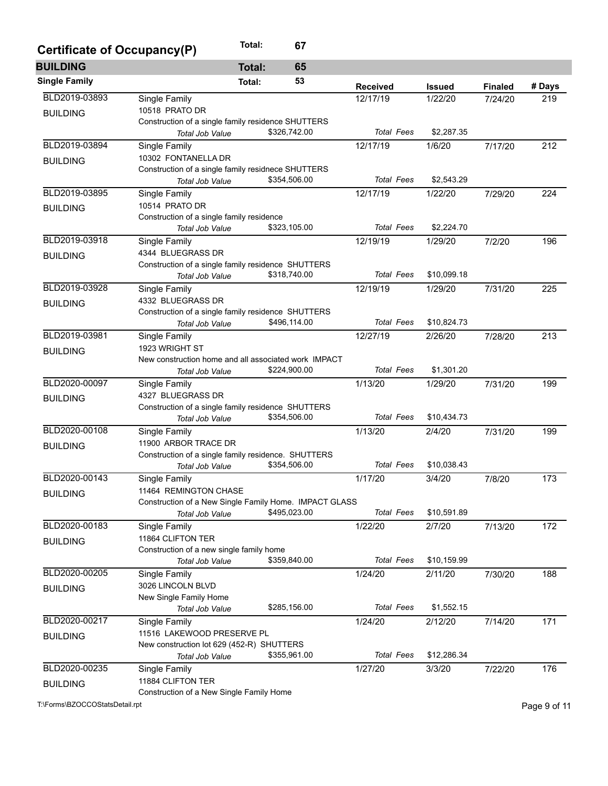| Certificate of Occupancy(P) | Total:<br>67                                           |                   |               |                |        |
|-----------------------------|--------------------------------------------------------|-------------------|---------------|----------------|--------|
| <b>BUILDING</b>             | 65<br><b>Total:</b>                                    |                   |               |                |        |
| <b>Single Family</b>        | 53<br>Total:                                           | <b>Received</b>   | <b>Issued</b> | <b>Finaled</b> | # Days |
| BLD2019-03893               | Single Family                                          | 12/17/19          | 1/22/20       | 7/24/20        | 219    |
| <b>BUILDING</b>             | 10518 PRATO DR                                         |                   |               |                |        |
|                             | Construction of a single family residence SHUTTERS     |                   |               |                |        |
|                             | \$326,742.00<br>Total Job Value                        | <b>Total Fees</b> | \$2,287.35    |                |        |
| BLD2019-03894               | Single Family                                          | 12/17/19          | 1/6/20        | 7/17/20        | 212    |
| <b>BUILDING</b>             | 10302 FONTANELLA DR                                    |                   |               |                |        |
|                             | Construction of a single family residnece SHUTTERS     |                   |               |                |        |
|                             | \$354,506.00<br>Total Job Value                        | <b>Total Fees</b> | \$2,543.29    |                |        |
| BLD2019-03895               | Single Family                                          | 12/17/19          | 1/22/20       | 7/29/20        | 224    |
| <b>BUILDING</b>             | 10514 PRATO DR                                         |                   |               |                |        |
|                             | Construction of a single family residence              |                   |               |                |        |
|                             | \$323,105.00<br>Total Job Value                        | <b>Total Fees</b> | \$2,224.70    |                |        |
| BLD2019-03918               | Single Family                                          | 12/19/19          | 1/29/20       | 7/2/20         | 196    |
| <b>BUILDING</b>             | 4344 BLUEGRASS DR                                      |                   |               |                |        |
|                             | Construction of a single family residence SHUTTERS     |                   |               |                |        |
|                             | \$318,740.00<br>Total Job Value                        | <b>Total Fees</b> | \$10,099.18   |                |        |
| BLD2019-03928               | Single Family                                          | 12/19/19          | 1/29/20       | 7/31/20        | 225    |
| <b>BUILDING</b>             | 4332 BLUEGRASS DR                                      |                   |               |                |        |
|                             | Construction of a single family residence SHUTTERS     |                   |               |                |        |
|                             | \$496,114.00<br>Total Job Value                        | <b>Total Fees</b> | \$10,824.73   |                |        |
| BLD2019-03981               | Single Family                                          | 12/27/19          | 2/26/20       | 7/28/20        | 213    |
| <b>BUILDING</b>             | 1923 WRIGHT ST                                         |                   |               |                |        |
|                             | New construction home and all associated work IMPACT   |                   |               |                |        |
|                             | \$224,900.00<br>Total Job Value                        | <b>Total Fees</b> | \$1,301.20    |                |        |
| BLD2020-00097               | Single Family                                          | 1/13/20           | 1/29/20       | 7/31/20        | 199    |
| <b>BUILDING</b>             | 4327 BLUEGRASS DR                                      |                   |               |                |        |
|                             | Construction of a single family residence SHUTTERS     |                   |               |                |        |
|                             | \$354,506.00<br>Total Job Value                        | <b>Total Fees</b> | \$10,434.73   |                |        |
| BLD2020-00108               | Single Family                                          | 1/13/20           | 2/4/20        | 7/31/20        | 199    |
| <b>BUILDING</b>             | 11900 ARBOR TRACE DR                                   |                   |               |                |        |
|                             | Construction of a single family residence. SHUTTERS    |                   |               |                |        |
|                             | \$354,506.00<br>Total Job Value                        | <b>Total Fees</b> | \$10,038.43   |                |        |
| BLD2020-00143               | Single Family                                          | 1/17/20           | 3/4/20        | 7/8/20         | 173    |
| <b>BUILDING</b>             | 11464 REMINGTON CHASE                                  |                   |               |                |        |
|                             | Construction of a New Single Family Home. IMPACT GLASS |                   |               |                |        |
|                             | \$495,023.00<br>Total Job Value                        | <b>Total Fees</b> | \$10,591.89   |                |        |
| BLD2020-00183               | Single Family                                          | 1/22/20           | 2/7/20        | 7/13/20        | 172    |
| <b>BUILDING</b>             | 11864 CLIFTON TER                                      |                   |               |                |        |
|                             | Construction of a new single family home               |                   |               |                |        |
|                             | \$359,840.00<br>Total Job Value                        | <b>Total Fees</b> | \$10,159.99   |                |        |
| BLD2020-00205               | Single Family                                          | 1/24/20           | 2/11/20       | 7/30/20        | 188    |
| <b>BUILDING</b>             | 3026 LINCOLN BLVD                                      |                   |               |                |        |
|                             | New Single Family Home                                 |                   |               |                |        |
|                             | \$285,156.00<br>Total Job Value                        | <b>Total Fees</b> | \$1,552.15    |                |        |
| BLD2020-00217               | Single Family                                          | 1/24/20           | 2/12/20       | 7/14/20        | 171    |
| <b>BUILDING</b>             | 11516 LAKEWOOD PRESERVE PL                             |                   |               |                |        |
|                             | New construction lot 629 (452-R) SHUTTERS              |                   |               |                |        |
|                             | \$355,961.00<br>Total Job Value                        | <b>Total Fees</b> | \$12,286.34   |                |        |
| BLD2020-00235               | Single Family                                          | 1/27/20           | 3/3/20        | 7/22/20        | 176    |
| <b>BUILDING</b>             | 11884 CLIFTON TER                                      |                   |               |                |        |
|                             | Construction of a New Single Family Home               |                   |               |                |        |

T:\Forms\BZOCCOStatsDetail.rpt Page 9 of 11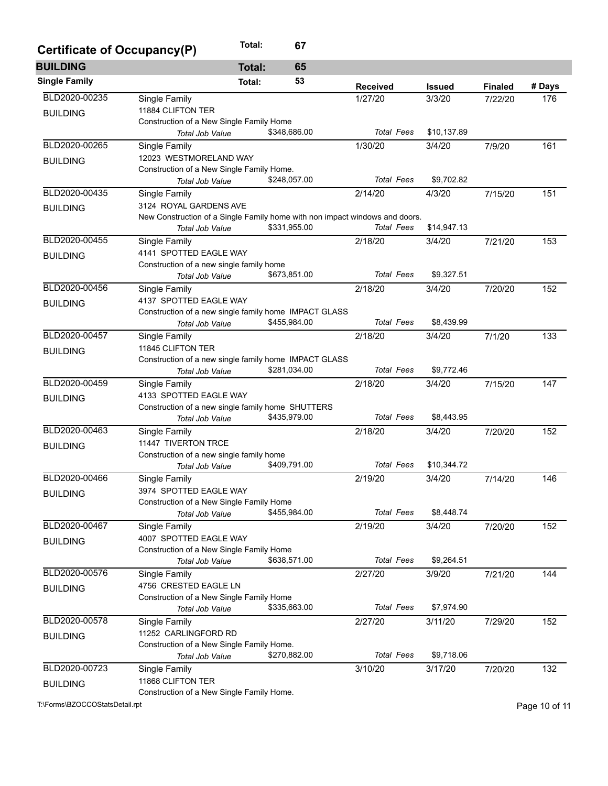| Certificate of Occupancy(P) | Total:                                                                      | 67           |                   |               |                |        |
|-----------------------------|-----------------------------------------------------------------------------|--------------|-------------------|---------------|----------------|--------|
| <b>BUILDING</b>             | <b>Total:</b>                                                               | 65           |                   |               |                |        |
| <b>Single Family</b>        | Total:                                                                      | 53           | <b>Received</b>   | <b>Issued</b> | <b>Finaled</b> | # Days |
| BLD2020-00235               | Single Family                                                               |              | 1/27/20           | 3/3/20        | 7/22/20        | 176    |
| <b>BUILDING</b>             | 11884 CLIFTON TER                                                           |              |                   |               |                |        |
|                             | Construction of a New Single Family Home                                    |              |                   |               |                |        |
|                             | <b>Total Job Value</b>                                                      | \$348,686.00 | <b>Total Fees</b> | \$10,137.89   |                |        |
| BLD2020-00265               | Single Family                                                               |              | 1/30/20           | 3/4/20        | 7/9/20         | 161    |
| <b>BUILDING</b>             | 12023 WESTMORELAND WAY                                                      |              |                   |               |                |        |
|                             | Construction of a New Single Family Home.                                   |              |                   |               |                |        |
|                             | <b>Total Job Value</b>                                                      | \$248,057.00 | <b>Total Fees</b> | \$9,702.82    |                |        |
| BLD2020-00435               | Single Family                                                               |              | 2/14/20           | 4/3/20        | 7/15/20        | 151    |
| <b>BUILDING</b>             | 3124 ROYAL GARDENS AVE                                                      |              |                   |               |                |        |
|                             | New Construction of a Single Family home with non impact windows and doors. |              |                   |               |                |        |
|                             | Total Job Value                                                             | \$331,955.00 | <b>Total Fees</b> | \$14,947.13   |                |        |
| BLD2020-00455               | <b>Single Family</b>                                                        |              | 2/18/20           | 3/4/20        | 7/21/20        | 153    |
| <b>BUILDING</b>             | 4141 SPOTTED EAGLE WAY                                                      |              |                   |               |                |        |
|                             | Construction of a new single family home                                    |              |                   |               |                |        |
|                             | <b>Total Job Value</b>                                                      | \$673,851.00 | <b>Total Fees</b> | \$9,327.51    |                |        |
| BLD2020-00456               | Single Family                                                               |              | 2/18/20           | 3/4/20        | 7/20/20        | 152    |
| <b>BUILDING</b>             | 4137 SPOTTED EAGLE WAY                                                      |              |                   |               |                |        |
|                             | Construction of a new single family home IMPACT GLASS                       |              |                   |               |                |        |
|                             | <b>Total Job Value</b>                                                      | \$455,984.00 | <b>Total Fees</b> | \$8,439.99    |                |        |
| BLD2020-00457               | Single Family                                                               |              | 2/18/20           | 3/4/20        | 7/1/20         | 133    |
| <b>BUILDING</b>             | 11845 CLIFTON TER                                                           |              |                   |               |                |        |
|                             | Construction of a new single family home IMPACT GLASS                       |              |                   |               |                |        |
|                             | Total Job Value                                                             | \$281,034.00 | <b>Total Fees</b> | \$9,772.46    |                |        |
| BLD2020-00459               | Single Family                                                               |              | 2/18/20           | 3/4/20        | 7/15/20        | 147    |
| <b>BUILDING</b>             | 4133 SPOTTED EAGLE WAY                                                      |              |                   |               |                |        |
|                             | Construction of a new single family home SHUTTERS                           |              |                   |               |                |        |
|                             | Total Job Value                                                             | \$435,979.00 | <b>Total Fees</b> | \$8,443.95    |                |        |
| BLD2020-00463               | Single Family                                                               |              | 2/18/20           | 3/4/20        | 7/20/20        | 152    |
| <b>BUILDING</b>             | 11447 TIVERTON TRCE                                                         |              |                   |               |                |        |
|                             | Construction of a new single family home                                    |              | <b>Total Fees</b> | \$10,344.72   |                |        |
|                             | Total Job Value                                                             | \$409,791.00 |                   |               |                |        |
| BLD2020-00466               | Single Family                                                               |              | 2/19/20           | 3/4/20        | 7/14/20        | 146    |
| <b>BUILDING</b>             | 3974 SPOTTED EAGLE WAY                                                      |              |                   |               |                |        |
|                             | Construction of a New Single Family Home                                    | \$455,984.00 | <b>Total Fees</b> | \$8,448.74    |                |        |
| BLD2020-00467               | Total Job Value                                                             |              |                   |               |                |        |
|                             | Single Family                                                               |              | 2/19/20           | 3/4/20        | 7/20/20        | 152    |
| <b>BUILDING</b>             | 4007 SPOTTED EAGLE WAY                                                      |              |                   |               |                |        |
|                             | Construction of a New Single Family Home<br>Total Job Value                 | \$638,571.00 | <b>Total Fees</b> | \$9,264.51    |                |        |
| BLD2020-00576               |                                                                             |              | 2/27/20           | 3/9/20        |                | 144    |
|                             | Single Family<br>4756 CRESTED EAGLE LN                                      |              |                   |               | 7/21/20        |        |
| <b>BUILDING</b>             | Construction of a New Single Family Home                                    |              |                   |               |                |        |
|                             | Total Job Value                                                             | \$335,663.00 | <b>Total Fees</b> | \$7,974.90    |                |        |
| BLD2020-00578               | Single Family                                                               |              | 2/27/20           | 3/11/20       | 7/29/20        | 152    |
|                             | 11252 CARLINGFORD RD                                                        |              |                   |               |                |        |
| <b>BUILDING</b>             | Construction of a New Single Family Home.                                   |              |                   |               |                |        |
|                             | Total Job Value                                                             | \$270,882.00 | <b>Total Fees</b> | \$9,718.06    |                |        |
| BLD2020-00723               | Single Family                                                               |              | 3/10/20           | 3/17/20       | 7/20/20        | 132    |
|                             | 11868 CLIFTON TER                                                           |              |                   |               |                |        |
| <b>BUILDING</b>             | Construction of a New Single Family Home.                                   |              |                   |               |                |        |
|                             |                                                                             |              |                   |               |                |        |

T:\Forms\BZOCCOStatsDetail.rpt Page 10 of 11